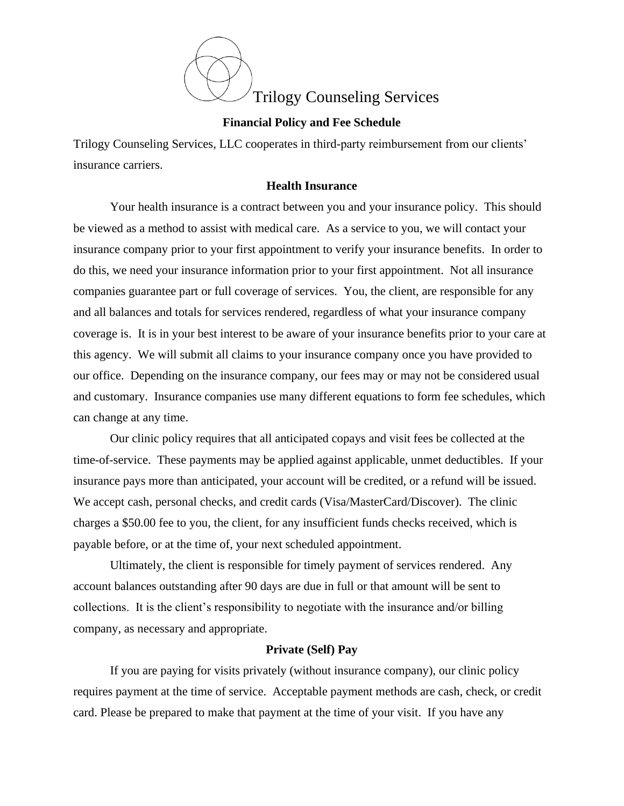

### **Financial Policy and Fee Schedule**

Trilogy Counseling Services, LLC cooperates in third-party reimbursement from our clients' insurance carriers.

# **Health Insurance**

Your health insurance is a contract between you and your insurance policy. This should be viewed as a method to assist with medical care. As a service to you, we will contact your insurance company prior to your first appointment to verify your insurance benefits. In order to do this, we need your insurance information prior to your first appointment. Not all insurance companies guarantee part or full coverage of services. You, the client, are responsible for any and all balances and totals for services rendered, regardless of what your insurance company coverage is. It is in your best interest to be aware of your insurance benefits prior to your care at this agency. We will submit all claims to your insurance company once you have provided to our office. Depending on the insurance company, our fees may or may not be considered usual and customary. Insurance companies use many different equations to form fee schedules, which can change at any time.

Our clinic policy requires that all anticipated copays and visit fees be collected at the time-of-service. These payments may be applied against applicable, unmet deductibles. If your insurance pays more than anticipated, your account will be credited, or a refund will be issued. We accept cash, personal checks, and credit cards (Visa/MasterCard/Discover). The clinic charges a \$50.00 fee to you, the client, for any insufficient funds checks received, which is payable before, or at the time of, your next scheduled appointment.

Ultimately, the client is responsible for timely payment of services rendered. Any account balances outstanding after 90 days are due in full or that amount will be sent to collections. It is the client's responsibility to negotiate with the insurance and/or billing company, as necessary and appropriate.

# **Private (Self) Pay**

If you are paying for visits privately (without insurance company), our clinic policy requires payment at the time of service. Acceptable payment methods are cash, check, or credit card. Please be prepared to make that payment at the time of your visit. If you have any